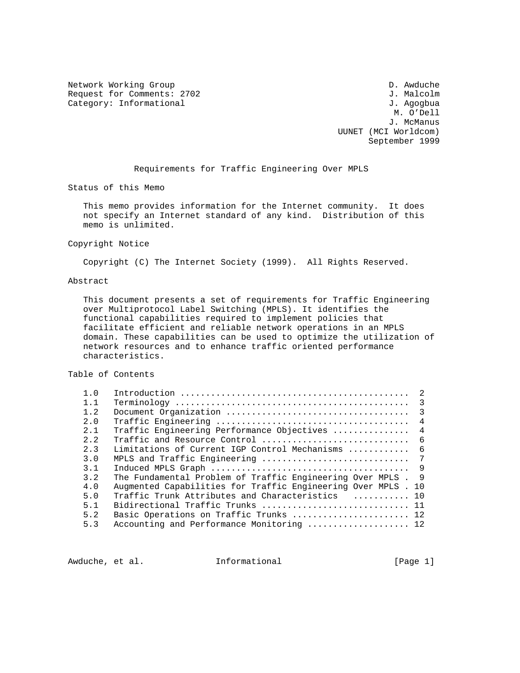Network Working Group D. Awduche Request for Comments: 2702<br>
Category: Informational and South Stategory: Informational and South Stategory: Informational and South Stategory<br>
3. Agogbua Category: Informational

 M. O'Dell J. McManus UUNET (MCI Worldcom) September 1999

Requirements for Traffic Engineering Over MPLS

Status of this Memo

 This memo provides information for the Internet community. It does not specify an Internet standard of any kind. Distribution of this memo is unlimited.

### Copyright Notice

Copyright (C) The Internet Society (1999). All Rights Reserved.

### Abstract

 This document presents a set of requirements for Traffic Engineering over Multiprotocol Label Switching (MPLS). It identifies the functional capabilities required to implement policies that facilitate efficient and reliable network operations in an MPLS domain. These capabilities can be used to optimize the utilization of network resources and to enhance traffic oriented performance characteristics.

### Table of Contents

| 1.0            |                                                               |                |
|----------------|---------------------------------------------------------------|----------------|
| 1.1            |                                                               |                |
| 1.2            |                                                               | $\overline{3}$ |
| 2.0            |                                                               | $\overline{4}$ |
| 2.1            | Traffic Engineering Performance Objectives                    | $\overline{4}$ |
| 2.2            | Traffic and Resource Control                                  | - 6            |
| 2 <sup>2</sup> | Limitations of Current IGP Control Mechanisms                 | - 6            |
| 3.0            |                                                               |                |
| 3.1            |                                                               | - 9            |
| 3.2            | The Fundamental Problem of Traffic Engineering Over MPLS.     | $\overline{9}$ |
| 4.0            | Augmented Capabilities for Traffic Engineering Over MPLS . 10 |                |
| 5.0            | Traffic Trunk Attributes and Characteristics  10              |                |
| 5.1            | Bidirectional Traffic Trunks  11                              |                |
| 5.2            | Basic Operations on Traffic Trunks  12                        |                |
| 5.3            | Accounting and Performance Monitoring  12                     |                |
|                |                                                               |                |

Awduche, et al. **Informational** [Page 1]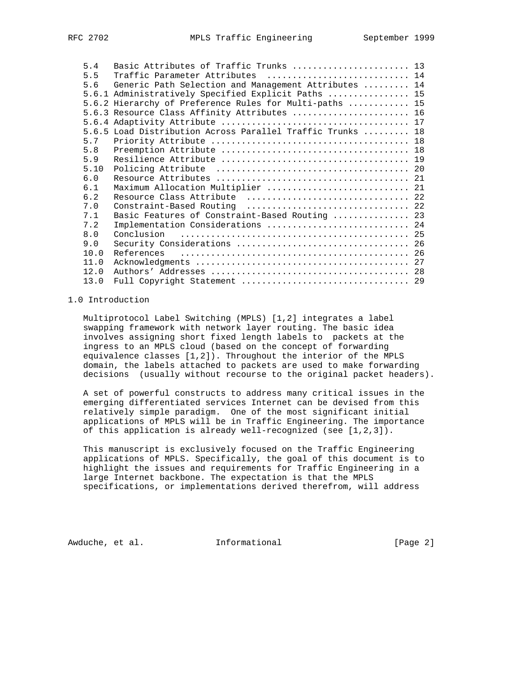| 5.4  | Basic Attributes of Traffic Trunks  13                     |  |
|------|------------------------------------------------------------|--|
| 5.5  | Traffic Parameter Attributes  14                           |  |
| 5.6  | Generic Path Selection and Management Attributes  14       |  |
|      | 5.6.1 Administratively Specified Explicit Paths  15        |  |
|      | 5.6.2 Hierarchy of Preference Rules for Multi-paths  15    |  |
|      | 5.6.3 Resource Class Affinity Attributes  16               |  |
|      |                                                            |  |
|      | 5.6.5 Load Distribution Across Parallel Traffic Trunks  18 |  |
| 5.7  |                                                            |  |
| 5.8  |                                                            |  |
| 5.9  |                                                            |  |
| 5.10 |                                                            |  |
| 6.0  |                                                            |  |
| 6.1  | Maximum Allocation Multiplier  21                          |  |
| 6.2  | Resource Class Attribute  22                               |  |
| 7.0  |                                                            |  |
| 7.1  | Basic Features of Constraint-Based Routing  23             |  |
| 7.2  | Implementation Considerations  24                          |  |
| 8.0  |                                                            |  |
| 9.0  |                                                            |  |
| 10.0 |                                                            |  |
| 11.0 |                                                            |  |
| 12.0 |                                                            |  |
| 13.0 | Full Copyright Statement  29                               |  |

### 1.0 Introduction

 Multiprotocol Label Switching (MPLS) [1,2] integrates a label swapping framework with network layer routing. The basic idea involves assigning short fixed length labels to packets at the ingress to an MPLS cloud (based on the concept of forwarding equivalence classes [1,2]). Throughout the interior of the MPLS domain, the labels attached to packets are used to make forwarding decisions (usually without recourse to the original packet headers).

 A set of powerful constructs to address many critical issues in the emerging differentiated services Internet can be devised from this relatively simple paradigm. One of the most significant initial applications of MPLS will be in Traffic Engineering. The importance of this application is already well-recognized (see [1,2,3]).

 This manuscript is exclusively focused on the Traffic Engineering applications of MPLS. Specifically, the goal of this document is to highlight the issues and requirements for Traffic Engineering in a large Internet backbone. The expectation is that the MPLS specifications, or implementations derived therefrom, will address

Awduche, et al. **Informational** [Page 2]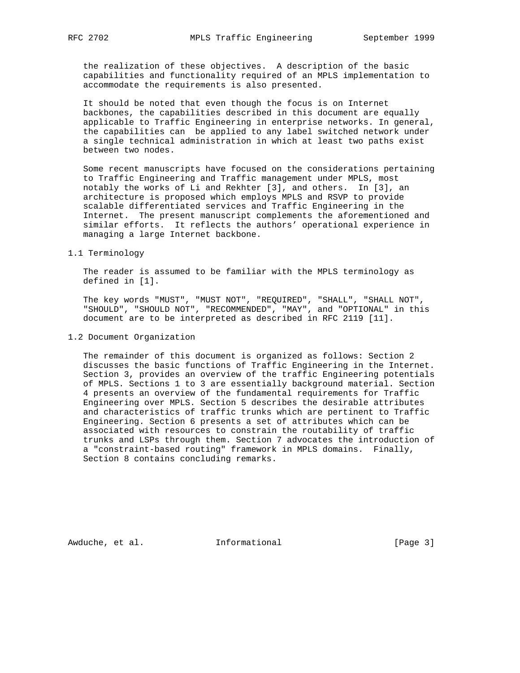the realization of these objectives. A description of the basic capabilities and functionality required of an MPLS implementation to accommodate the requirements is also presented.

 It should be noted that even though the focus is on Internet backbones, the capabilities described in this document are equally applicable to Traffic Engineering in enterprise networks. In general, the capabilities can be applied to any label switched network under a single technical administration in which at least two paths exist between two nodes.

 Some recent manuscripts have focused on the considerations pertaining to Traffic Engineering and Traffic management under MPLS, most notably the works of Li and Rekhter [3], and others. In [3], an architecture is proposed which employs MPLS and RSVP to provide scalable differentiated services and Traffic Engineering in the Internet. The present manuscript complements the aforementioned and similar efforts. It reflects the authors' operational experience in managing a large Internet backbone.

### 1.1 Terminology

 The reader is assumed to be familiar with the MPLS terminology as defined in [1].

 The key words "MUST", "MUST NOT", "REQUIRED", "SHALL", "SHALL NOT", "SHOULD", "SHOULD NOT", "RECOMMENDED", "MAY", and "OPTIONAL" in this document are to be interpreted as described in RFC 2119 [11].

### 1.2 Document Organization

 The remainder of this document is organized as follows: Section 2 discusses the basic functions of Traffic Engineering in the Internet. Section 3, provides an overview of the traffic Engineering potentials of MPLS. Sections 1 to 3 are essentially background material. Section 4 presents an overview of the fundamental requirements for Traffic Engineering over MPLS. Section 5 describes the desirable attributes and characteristics of traffic trunks which are pertinent to Traffic Engineering. Section 6 presents a set of attributes which can be associated with resources to constrain the routability of traffic trunks and LSPs through them. Section 7 advocates the introduction of a "constraint-based routing" framework in MPLS domains. Finally, Section 8 contains concluding remarks.

Awduche, et al. **Informational** [Page 3]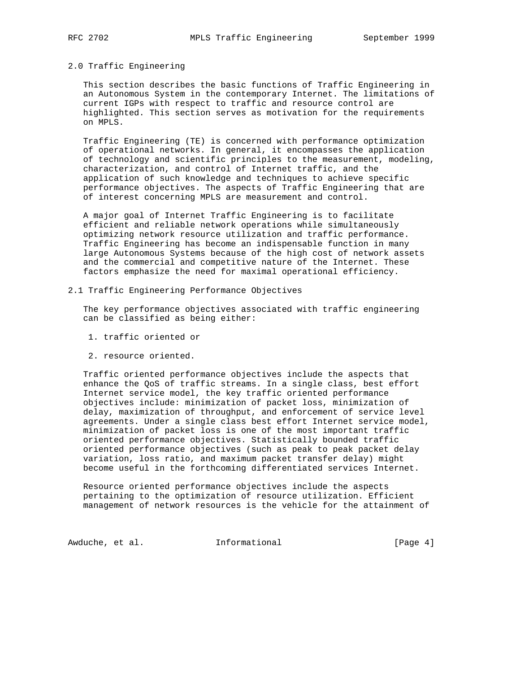## 2.0 Traffic Engineering

 This section describes the basic functions of Traffic Engineering in an Autonomous System in the contemporary Internet. The limitations of current IGPs with respect to traffic and resource control are highlighted. This section serves as motivation for the requirements on MPLS.

 Traffic Engineering (TE) is concerned with performance optimization of operational networks. In general, it encompasses the application of technology and scientific principles to the measurement, modeling, characterization, and control of Internet traffic, and the application of such knowledge and techniques to achieve specific performance objectives. The aspects of Traffic Engineering that are of interest concerning MPLS are measurement and control.

 A major goal of Internet Traffic Engineering is to facilitate efficient and reliable network operations while simultaneously optimizing network resource utilization and traffic performance. Traffic Engineering has become an indispensable function in many large Autonomous Systems because of the high cost of network assets and the commercial and competitive nature of the Internet. These factors emphasize the need for maximal operational efficiency.

2.1 Traffic Engineering Performance Objectives

 The key performance objectives associated with traffic engineering can be classified as being either:

- 1. traffic oriented or
- 2. resource oriented.

 Traffic oriented performance objectives include the aspects that enhance the QoS of traffic streams. In a single class, best effort Internet service model, the key traffic oriented performance objectives include: minimization of packet loss, minimization of delay, maximization of throughput, and enforcement of service level agreements. Under a single class best effort Internet service model, minimization of packet loss is one of the most important traffic oriented performance objectives. Statistically bounded traffic oriented performance objectives (such as peak to peak packet delay variation, loss ratio, and maximum packet transfer delay) might become useful in the forthcoming differentiated services Internet.

 Resource oriented performance objectives include the aspects pertaining to the optimization of resource utilization. Efficient management of network resources is the vehicle for the attainment of

Awduche, et al. 1nformational 1999 [Page 4]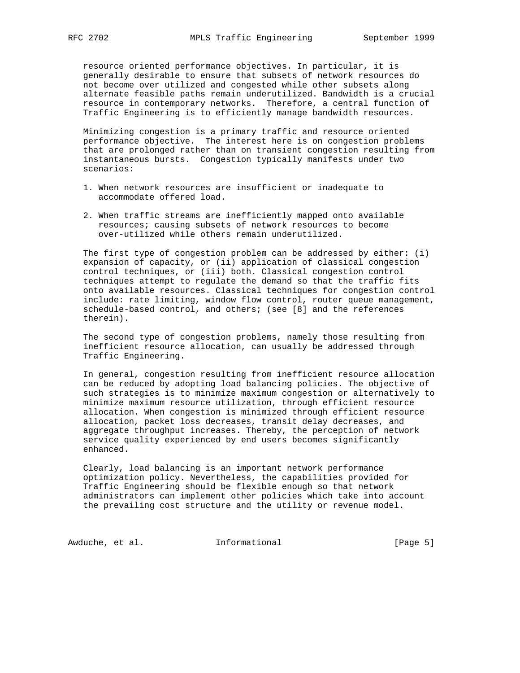resource oriented performance objectives. In particular, it is generally desirable to ensure that subsets of network resources do not become over utilized and congested while other subsets along alternate feasible paths remain underutilized. Bandwidth is a crucial resource in contemporary networks. Therefore, a central function of Traffic Engineering is to efficiently manage bandwidth resources.

 Minimizing congestion is a primary traffic and resource oriented performance objective. The interest here is on congestion problems that are prolonged rather than on transient congestion resulting from instantaneous bursts. Congestion typically manifests under two scenarios:

- 1. When network resources are insufficient or inadequate to accommodate offered load.
- 2. When traffic streams are inefficiently mapped onto available resources; causing subsets of network resources to become over-utilized while others remain underutilized.

 The first type of congestion problem can be addressed by either: (i) expansion of capacity, or (ii) application of classical congestion control techniques, or (iii) both. Classical congestion control techniques attempt to regulate the demand so that the traffic fits onto available resources. Classical techniques for congestion control include: rate limiting, window flow control, router queue management, schedule-based control, and others; (see [8] and the references therein).

 The second type of congestion problems, namely those resulting from inefficient resource allocation, can usually be addressed through Traffic Engineering.

 In general, congestion resulting from inefficient resource allocation can be reduced by adopting load balancing policies. The objective of such strategies is to minimize maximum congestion or alternatively to minimize maximum resource utilization, through efficient resource allocation. When congestion is minimized through efficient resource allocation, packet loss decreases, transit delay decreases, and aggregate throughput increases. Thereby, the perception of network service quality experienced by end users becomes significantly enhanced.

 Clearly, load balancing is an important network performance optimization policy. Nevertheless, the capabilities provided for Traffic Engineering should be flexible enough so that network administrators can implement other policies which take into account the prevailing cost structure and the utility or revenue model.

Awduche, et al. 1nformational 1999 [Page 5]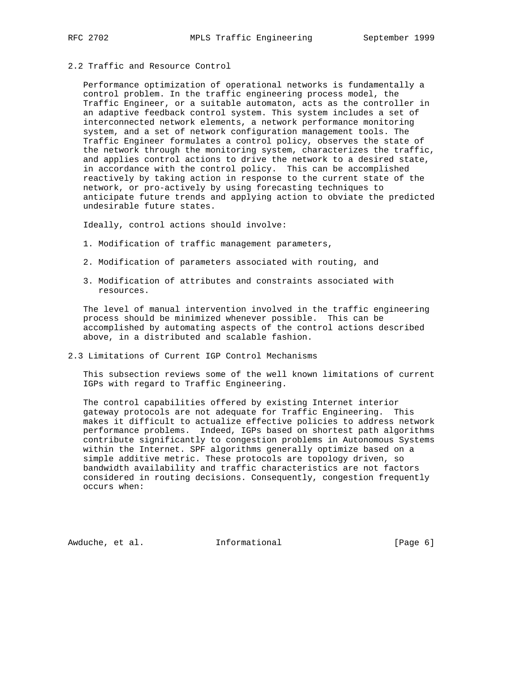# 2.2 Traffic and Resource Control

 Performance optimization of operational networks is fundamentally a control problem. In the traffic engineering process model, the Traffic Engineer, or a suitable automaton, acts as the controller in an adaptive feedback control system. This system includes a set of interconnected network elements, a network performance monitoring system, and a set of network configuration management tools. The Traffic Engineer formulates a control policy, observes the state of the network through the monitoring system, characterizes the traffic, and applies control actions to drive the network to a desired state, in accordance with the control policy. This can be accomplished reactively by taking action in response to the current state of the network, or pro-actively by using forecasting techniques to anticipate future trends and applying action to obviate the predicted undesirable future states.

Ideally, control actions should involve:

- 1. Modification of traffic management parameters,
- 2. Modification of parameters associated with routing, and
- 3. Modification of attributes and constraints associated with resources.

 The level of manual intervention involved in the traffic engineering process should be minimized whenever possible. This can be accomplished by automating aspects of the control actions described above, in a distributed and scalable fashion.

2.3 Limitations of Current IGP Control Mechanisms

 This subsection reviews some of the well known limitations of current IGPs with regard to Traffic Engineering.

 The control capabilities offered by existing Internet interior gateway protocols are not adequate for Traffic Engineering. This makes it difficult to actualize effective policies to address network performance problems. Indeed, IGPs based on shortest path algorithms contribute significantly to congestion problems in Autonomous Systems within the Internet. SPF algorithms generally optimize based on a simple additive metric. These protocols are topology driven, so bandwidth availability and traffic characteristics are not factors considered in routing decisions. Consequently, congestion frequently occurs when:

Awduche, et al. **Informational** [Page 6]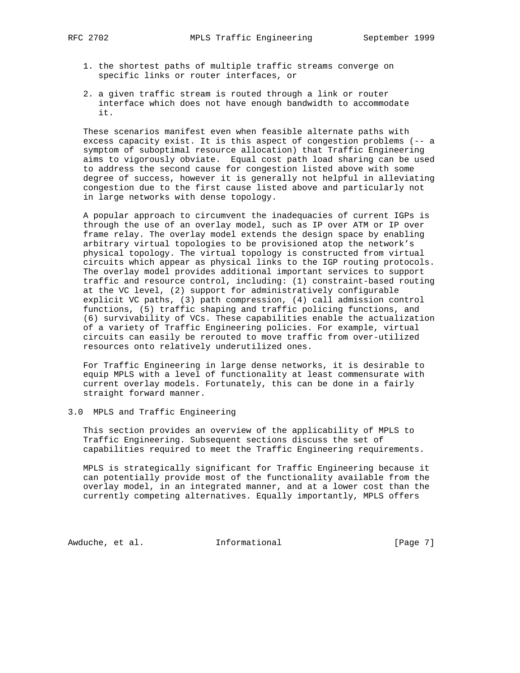- - 1. the shortest paths of multiple traffic streams converge on specific links or router interfaces, or
	- 2. a given traffic stream is routed through a link or router interface which does not have enough bandwidth to accommodate it.

 These scenarios manifest even when feasible alternate paths with excess capacity exist. It is this aspect of congestion problems (-- a symptom of suboptimal resource allocation) that Traffic Engineering aims to vigorously obviate. Equal cost path load sharing can be used to address the second cause for congestion listed above with some degree of success, however it is generally not helpful in alleviating congestion due to the first cause listed above and particularly not in large networks with dense topology.

 A popular approach to circumvent the inadequacies of current IGPs is through the use of an overlay model, such as IP over ATM or IP over frame relay. The overlay model extends the design space by enabling arbitrary virtual topologies to be provisioned atop the network's physical topology. The virtual topology is constructed from virtual circuits which appear as physical links to the IGP routing protocols. The overlay model provides additional important services to support traffic and resource control, including: (1) constraint-based routing at the VC level, (2) support for administratively configurable explicit VC paths, (3) path compression, (4) call admission control functions, (5) traffic shaping and traffic policing functions, and (6) survivability of VCs. These capabilities enable the actualization of a variety of Traffic Engineering policies. For example, virtual circuits can easily be rerouted to move traffic from over-utilized resources onto relatively underutilized ones.

 For Traffic Engineering in large dense networks, it is desirable to equip MPLS with a level of functionality at least commensurate with current overlay models. Fortunately, this can be done in a fairly straight forward manner.

# 3.0 MPLS and Traffic Engineering

 This section provides an overview of the applicability of MPLS to Traffic Engineering. Subsequent sections discuss the set of capabilities required to meet the Traffic Engineering requirements.

 MPLS is strategically significant for Traffic Engineering because it can potentially provide most of the functionality available from the overlay model, in an integrated manner, and at a lower cost than the currently competing alternatives. Equally importantly, MPLS offers

Awduche, et al. 1nformational 1999 [Page 7]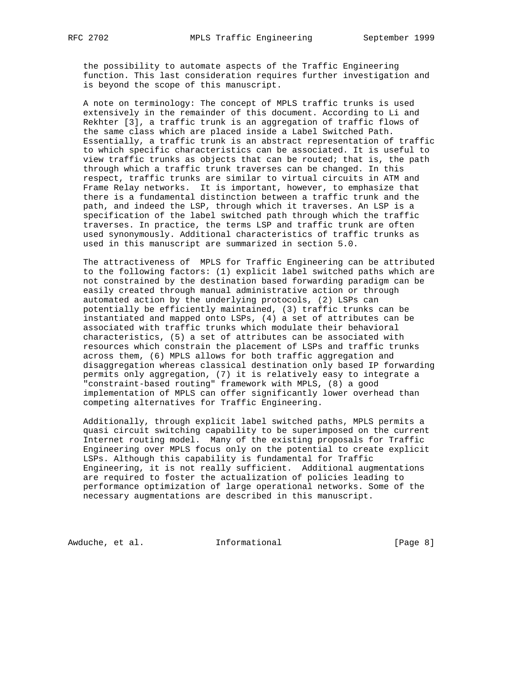the possibility to automate aspects of the Traffic Engineering function. This last consideration requires further investigation and is beyond the scope of this manuscript.

 A note on terminology: The concept of MPLS traffic trunks is used extensively in the remainder of this document. According to Li and Rekhter [3], a traffic trunk is an aggregation of traffic flows of the same class which are placed inside a Label Switched Path. Essentially, a traffic trunk is an abstract representation of traffic to which specific characteristics can be associated. It is useful to view traffic trunks as objects that can be routed; that is, the path through which a traffic trunk traverses can be changed. In this respect, traffic trunks are similar to virtual circuits in ATM and Frame Relay networks. It is important, however, to emphasize that there is a fundamental distinction between a traffic trunk and the path, and indeed the LSP, through which it traverses. An LSP is a specification of the label switched path through which the traffic traverses. In practice, the terms LSP and traffic trunk are often used synonymously. Additional characteristics of traffic trunks as used in this manuscript are summarized in section 5.0.

 The attractiveness of MPLS for Traffic Engineering can be attributed to the following factors: (1) explicit label switched paths which are not constrained by the destination based forwarding paradigm can be easily created through manual administrative action or through automated action by the underlying protocols, (2) LSPs can potentially be efficiently maintained, (3) traffic trunks can be instantiated and mapped onto LSPs, (4) a set of attributes can be associated with traffic trunks which modulate their behavioral characteristics, (5) a set of attributes can be associated with resources which constrain the placement of LSPs and traffic trunks across them, (6) MPLS allows for both traffic aggregation and disaggregation whereas classical destination only based IP forwarding permits only aggregation, (7) it is relatively easy to integrate a "constraint-based routing" framework with MPLS, (8) a good implementation of MPLS can offer significantly lower overhead than competing alternatives for Traffic Engineering.

 Additionally, through explicit label switched paths, MPLS permits a quasi circuit switching capability to be superimposed on the current Internet routing model. Many of the existing proposals for Traffic Engineering over MPLS focus only on the potential to create explicit LSPs. Although this capability is fundamental for Traffic Engineering, it is not really sufficient. Additional augmentations are required to foster the actualization of policies leading to performance optimization of large operational networks. Some of the necessary augmentations are described in this manuscript.

Awduche, et al. 1nformational 1999 [Page 8]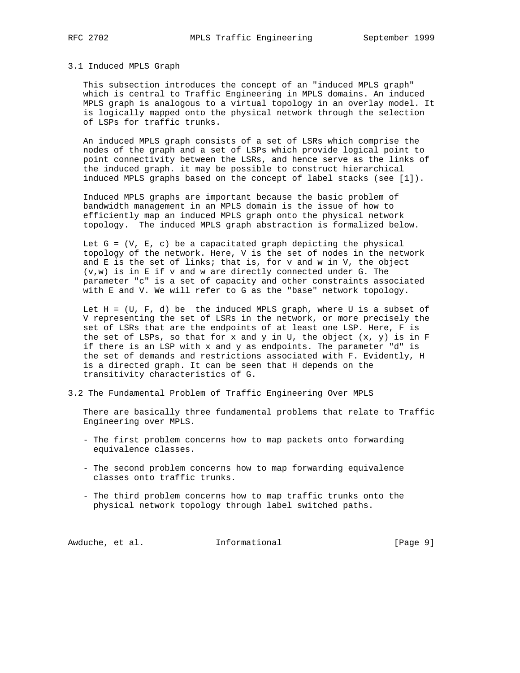### 3.1 Induced MPLS Graph

 This subsection introduces the concept of an "induced MPLS graph" which is central to Traffic Engineering in MPLS domains. An induced MPLS graph is analogous to a virtual topology in an overlay model. It is logically mapped onto the physical network through the selection of LSPs for traffic trunks.

 An induced MPLS graph consists of a set of LSRs which comprise the nodes of the graph and a set of LSPs which provide logical point to point connectivity between the LSRs, and hence serve as the links of the induced graph. it may be possible to construct hierarchical induced MPLS graphs based on the concept of label stacks (see [1]).

 Induced MPLS graphs are important because the basic problem of bandwidth management in an MPLS domain is the issue of how to efficiently map an induced MPLS graph onto the physical network topology. The induced MPLS graph abstraction is formalized below.

Let  $G = (V, E, c)$  be a capacitated graph depicting the physical topology of the network. Here, V is the set of nodes in the network and E is the set of links; that is, for v and w in V, the object  $(v,w)$  is in E if  $v$  and  $w$  are directly connected under G. The parameter "c" is a set of capacity and other constraints associated with E and V. We will refer to G as the "base" network topology.

Let  $H = (U, F, d)$  be the induced MPLS graph, where U is a subset of V representing the set of LSRs in the network, or more precisely the set of LSRs that are the endpoints of at least one LSP. Here, F is the set of LSPs, so that for x and y in U, the object  $(x, y)$  is in F if there is an LSP with x and y as endpoints. The parameter "d" is the set of demands and restrictions associated with F. Evidently, H is a directed graph. It can be seen that H depends on the transitivity characteristics of G.

3.2 The Fundamental Problem of Traffic Engineering Over MPLS

 There are basically three fundamental problems that relate to Traffic Engineering over MPLS.

- The first problem concerns how to map packets onto forwarding equivalence classes.
- The second problem concerns how to map forwarding equivalence classes onto traffic trunks.
- The third problem concerns how to map traffic trunks onto the physical network topology through label switched paths.

Awduche, et al. 1nformational 1999 [Page 9]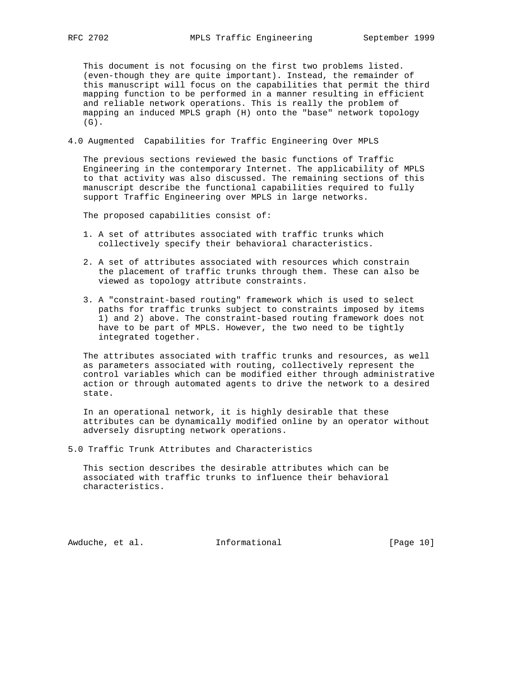This document is not focusing on the first two problems listed. (even-though they are quite important). Instead, the remainder of this manuscript will focus on the capabilities that permit the third mapping function to be performed in a manner resulting in efficient and reliable network operations. This is really the problem of mapping an induced MPLS graph (H) onto the "base" network topology (G).

4.0 Augmented Capabilities for Traffic Engineering Over MPLS

 The previous sections reviewed the basic functions of Traffic Engineering in the contemporary Internet. The applicability of MPLS to that activity was also discussed. The remaining sections of this manuscript describe the functional capabilities required to fully support Traffic Engineering over MPLS in large networks.

The proposed capabilities consist of:

- 1. A set of attributes associated with traffic trunks which collectively specify their behavioral characteristics.
- 2. A set of attributes associated with resources which constrain the placement of traffic trunks through them. These can also be viewed as topology attribute constraints.
- 3. A "constraint-based routing" framework which is used to select paths for traffic trunks subject to constraints imposed by items 1) and 2) above. The constraint-based routing framework does not have to be part of MPLS. However, the two need to be tightly integrated together.

 The attributes associated with traffic trunks and resources, as well as parameters associated with routing, collectively represent the control variables which can be modified either through administrative action or through automated agents to drive the network to a desired state.

 In an operational network, it is highly desirable that these attributes can be dynamically modified online by an operator without adversely disrupting network operations.

5.0 Traffic Trunk Attributes and Characteristics

 This section describes the desirable attributes which can be associated with traffic trunks to influence their behavioral characteristics.

Awduche, et al. **Informational** [Page 10]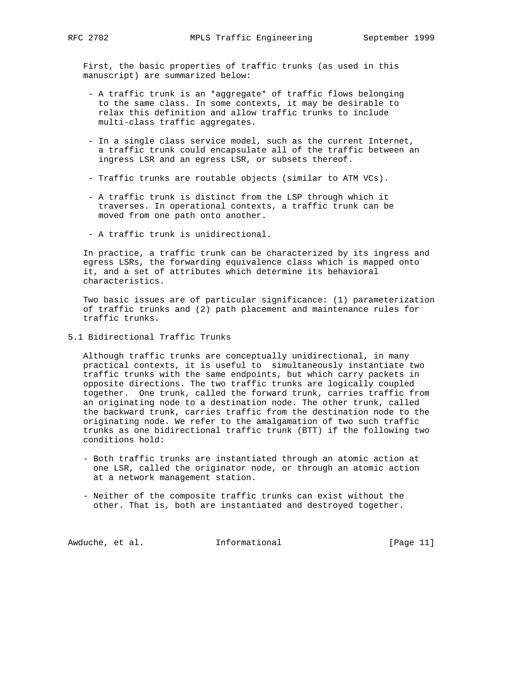First, the basic properties of traffic trunks (as used in this manuscript) are summarized below:

- A traffic trunk is an \*aggregate\* of traffic flows belonging to the same class. In some contexts, it may be desirable to relax this definition and allow traffic trunks to include multi-class traffic aggregates.
- In a single class service model, such as the current Internet, a traffic trunk could encapsulate all of the traffic between an ingress LSR and an egress LSR, or subsets thereof.
- Traffic trunks are routable objects (similar to ATM VCs).
- A traffic trunk is distinct from the LSP through which it traverses. In operational contexts, a traffic trunk can be moved from one path onto another.
- A traffic trunk is unidirectional.

 In practice, a traffic trunk can be characterized by its ingress and egress LSRs, the forwarding equivalence class which is mapped onto it, and a set of attributes which determine its behavioral characteristics.

 Two basic issues are of particular significance: (1) parameterization of traffic trunks and (2) path placement and maintenance rules for traffic trunks.

5.1 Bidirectional Traffic Trunks

 Although traffic trunks are conceptually unidirectional, in many practical contexts, it is useful to simultaneously instantiate two traffic trunks with the same endpoints, but which carry packets in opposite directions. The two traffic trunks are logically coupled together. One trunk, called the forward trunk, carries traffic from an originating node to a destination node. The other trunk, called the backward trunk, carries traffic from the destination node to the originating node. We refer to the amalgamation of two such traffic trunks as one bidirectional traffic trunk (BTT) if the following two conditions hold:

- Both traffic trunks are instantiated through an atomic action at one LSR, called the originator node, or through an atomic action at a network management station.
- Neither of the composite traffic trunks can exist without the other. That is, both are instantiated and destroyed together.

Awduche, et al. 1nformational 1999 [Page 11]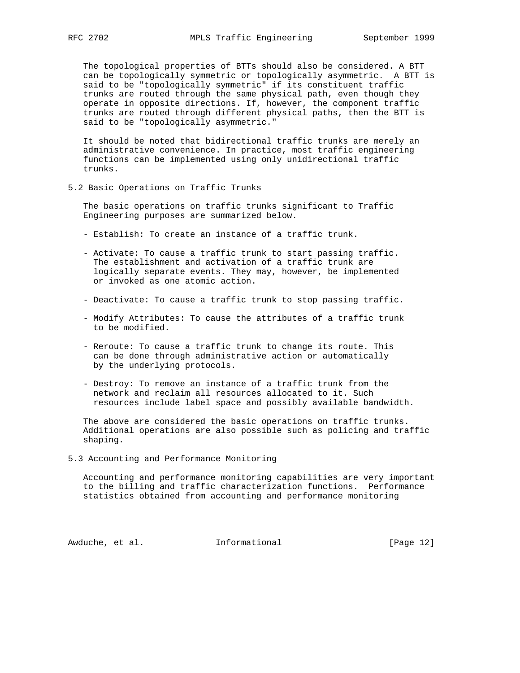The topological properties of BTTs should also be considered. A BTT can be topologically symmetric or topologically asymmetric. A BTT is said to be "topologically symmetric" if its constituent traffic trunks are routed through the same physical path, even though they operate in opposite directions. If, however, the component traffic trunks are routed through different physical paths, then the BTT is said to be "topologically asymmetric."

 It should be noted that bidirectional traffic trunks are merely an administrative convenience. In practice, most traffic engineering functions can be implemented using only unidirectional traffic trunks.

5.2 Basic Operations on Traffic Trunks

 The basic operations on traffic trunks significant to Traffic Engineering purposes are summarized below.

- Establish: To create an instance of a traffic trunk.
- Activate: To cause a traffic trunk to start passing traffic. The establishment and activation of a traffic trunk are logically separate events. They may, however, be implemented or invoked as one atomic action.
- Deactivate: To cause a traffic trunk to stop passing traffic.
- Modify Attributes: To cause the attributes of a traffic trunk to be modified.
- Reroute: To cause a traffic trunk to change its route. This can be done through administrative action or automatically by the underlying protocols.
- Destroy: To remove an instance of a traffic trunk from the network and reclaim all resources allocated to it. Such resources include label space and possibly available bandwidth.

 The above are considered the basic operations on traffic trunks. Additional operations are also possible such as policing and traffic shaping.

5.3 Accounting and Performance Monitoring

 Accounting and performance monitoring capabilities are very important to the billing and traffic characterization functions. Performance statistics obtained from accounting and performance monitoring

Awduche, et al. 1nformational [Page 12]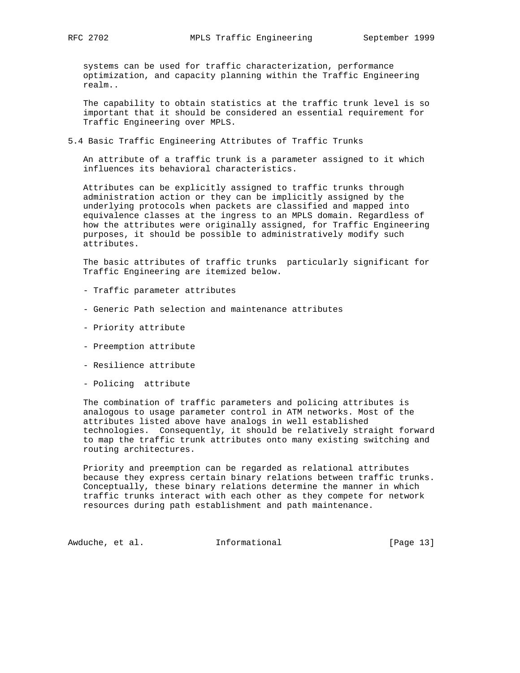systems can be used for traffic characterization, performance optimization, and capacity planning within the Traffic Engineering realm..

 The capability to obtain statistics at the traffic trunk level is so important that it should be considered an essential requirement for Traffic Engineering over MPLS.

5.4 Basic Traffic Engineering Attributes of Traffic Trunks

 An attribute of a traffic trunk is a parameter assigned to it which influences its behavioral characteristics.

 Attributes can be explicitly assigned to traffic trunks through administration action or they can be implicitly assigned by the underlying protocols when packets are classified and mapped into equivalence classes at the ingress to an MPLS domain. Regardless of how the attributes were originally assigned, for Traffic Engineering purposes, it should be possible to administratively modify such attributes.

 The basic attributes of traffic trunks particularly significant for Traffic Engineering are itemized below.

- Traffic parameter attributes
- Generic Path selection and maintenance attributes
- Priority attribute
- Preemption attribute
- Resilience attribute
- Policing attribute

 The combination of traffic parameters and policing attributes is analogous to usage parameter control in ATM networks. Most of the attributes listed above have analogs in well established technologies. Consequently, it should be relatively straight forward to map the traffic trunk attributes onto many existing switching and routing architectures.

 Priority and preemption can be regarded as relational attributes because they express certain binary relations between traffic trunks. Conceptually, these binary relations determine the manner in which traffic trunks interact with each other as they compete for network resources during path establishment and path maintenance.

Awduche, et al. 1nformational [Page 13]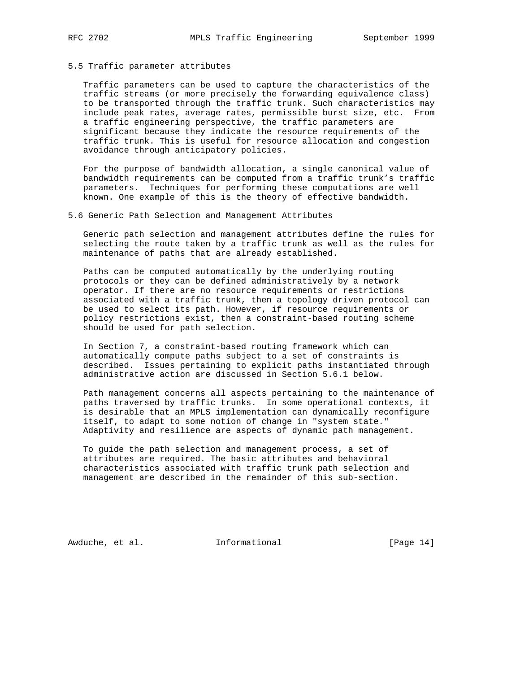### 5.5 Traffic parameter attributes

 Traffic parameters can be used to capture the characteristics of the traffic streams (or more precisely the forwarding equivalence class) to be transported through the traffic trunk. Such characteristics may include peak rates, average rates, permissible burst size, etc. From a traffic engineering perspective, the traffic parameters are significant because they indicate the resource requirements of the traffic trunk. This is useful for resource allocation and congestion avoidance through anticipatory policies.

 For the purpose of bandwidth allocation, a single canonical value of bandwidth requirements can be computed from a traffic trunk's traffic parameters. Techniques for performing these computations are well known. One example of this is the theory of effective bandwidth.

### 5.6 Generic Path Selection and Management Attributes

 Generic path selection and management attributes define the rules for selecting the route taken by a traffic trunk as well as the rules for maintenance of paths that are already established.

 Paths can be computed automatically by the underlying routing protocols or they can be defined administratively by a network operator. If there are no resource requirements or restrictions associated with a traffic trunk, then a topology driven protocol can be used to select its path. However, if resource requirements or policy restrictions exist, then a constraint-based routing scheme should be used for path selection.

 In Section 7, a constraint-based routing framework which can automatically compute paths subject to a set of constraints is described. Issues pertaining to explicit paths instantiated through administrative action are discussed in Section 5.6.1 below.

 Path management concerns all aspects pertaining to the maintenance of paths traversed by traffic trunks. In some operational contexts, it is desirable that an MPLS implementation can dynamically reconfigure itself, to adapt to some notion of change in "system state." Adaptivity and resilience are aspects of dynamic path management.

 To guide the path selection and management process, a set of attributes are required. The basic attributes and behavioral characteristics associated with traffic trunk path selection and management are described in the remainder of this sub-section.

Awduche, et al. **Informational** [Page 14]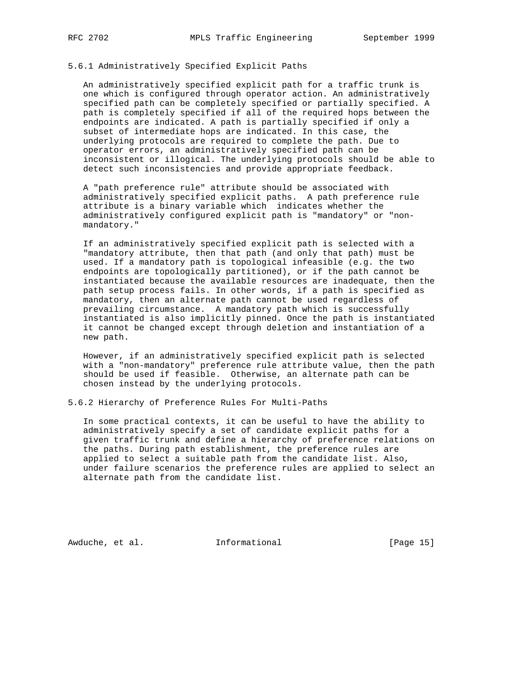## 5.6.1 Administratively Specified Explicit Paths

 An administratively specified explicit path for a traffic trunk is one which is configured through operator action. An administratively specified path can be completely specified or partially specified. A path is completely specified if all of the required hops between the endpoints are indicated. A path is partially specified if only a subset of intermediate hops are indicated. In this case, the underlying protocols are required to complete the path. Due to operator errors, an administratively specified path can be inconsistent or illogical. The underlying protocols should be able to detect such inconsistencies and provide appropriate feedback.

 A "path preference rule" attribute should be associated with administratively specified explicit paths. A path preference rule attribute is a binary variable which indicates whether the administratively configured explicit path is "mandatory" or "non mandatory."

 If an administratively specified explicit path is selected with a "mandatory attribute, then that path (and only that path) must be used. If a mandatory path is topological infeasible (e.g. the two endpoints are topologically partitioned), or if the path cannot be instantiated because the available resources are inadequate, then the path setup process fails. In other words, if a path is specified as mandatory, then an alternate path cannot be used regardless of prevailing circumstance. A mandatory path which is successfully instantiated is also implicitly pinned. Once the path is instantiated it cannot be changed except through deletion and instantiation of a new path.

 However, if an administratively specified explicit path is selected with a "non-mandatory" preference rule attribute value, then the path should be used if feasible. Otherwise, an alternate path can be chosen instead by the underlying protocols.

5.6.2 Hierarchy of Preference Rules For Multi-Paths

 In some practical contexts, it can be useful to have the ability to administratively specify a set of candidate explicit paths for a given traffic trunk and define a hierarchy of preference relations on the paths. During path establishment, the preference rules are applied to select a suitable path from the candidate list. Also, under failure scenarios the preference rules are applied to select an alternate path from the candidate list.

Awduche, et al. **Informational** [Page 15]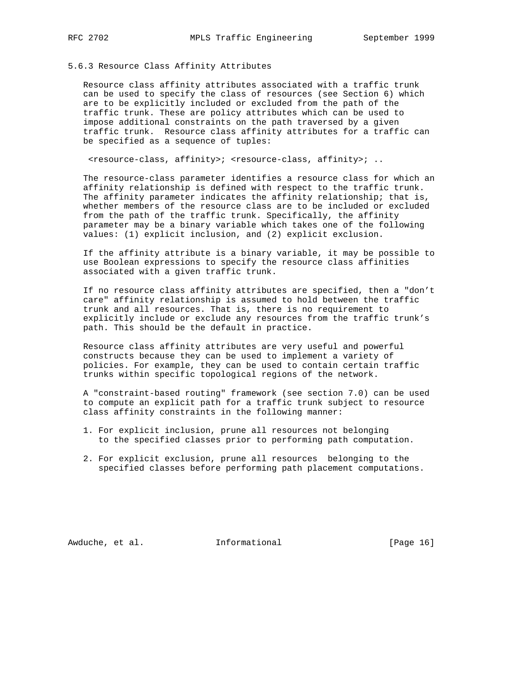5.6.3 Resource Class Affinity Attributes

 Resource class affinity attributes associated with a traffic trunk can be used to specify the class of resources (see Section 6) which are to be explicitly included or excluded from the path of the traffic trunk. These are policy attributes which can be used to impose additional constraints on the path traversed by a given traffic trunk. Resource class affinity attributes for a traffic can be specified as a sequence of tuples:

<resource-class, affinity>; <resource-class, affinity>; ..

 The resource-class parameter identifies a resource class for which an affinity relationship is defined with respect to the traffic trunk. The affinity parameter indicates the affinity relationship; that is, whether members of the resource class are to be included or excluded from the path of the traffic trunk. Specifically, the affinity parameter may be a binary variable which takes one of the following values: (1) explicit inclusion, and (2) explicit exclusion.

 If the affinity attribute is a binary variable, it may be possible to use Boolean expressions to specify the resource class affinities associated with a given traffic trunk.

 If no resource class affinity attributes are specified, then a "don't care" affinity relationship is assumed to hold between the traffic trunk and all resources. That is, there is no requirement to explicitly include or exclude any resources from the traffic trunk's path. This should be the default in practice.

 Resource class affinity attributes are very useful and powerful constructs because they can be used to implement a variety of policies. For example, they can be used to contain certain traffic trunks within specific topological regions of the network.

 A "constraint-based routing" framework (see section 7.0) can be used to compute an explicit path for a traffic trunk subject to resource class affinity constraints in the following manner:

- 1. For explicit inclusion, prune all resources not belonging to the specified classes prior to performing path computation.
- 2. For explicit exclusion, prune all resources belonging to the specified classes before performing path placement computations.

Awduche, et al. **Informational** [Page 16]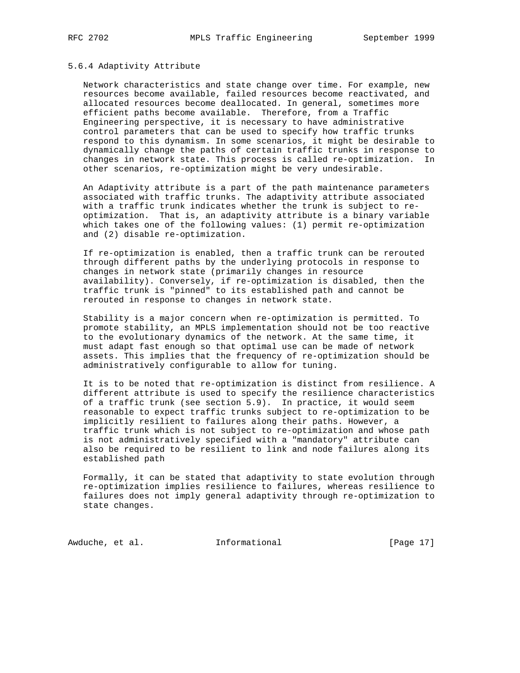### 5.6.4 Adaptivity Attribute

 Network characteristics and state change over time. For example, new resources become available, failed resources become reactivated, and allocated resources become deallocated. In general, sometimes more efficient paths become available. Therefore, from a Traffic Engineering perspective, it is necessary to have administrative control parameters that can be used to specify how traffic trunks respond to this dynamism. In some scenarios, it might be desirable to dynamically change the paths of certain traffic trunks in response to changes in network state. This process is called re-optimization. In other scenarios, re-optimization might be very undesirable.

 An Adaptivity attribute is a part of the path maintenance parameters associated with traffic trunks. The adaptivity attribute associated with a traffic trunk indicates whether the trunk is subject to re optimization. That is, an adaptivity attribute is a binary variable which takes one of the following values: (1) permit re-optimization and (2) disable re-optimization.

 If re-optimization is enabled, then a traffic trunk can be rerouted through different paths by the underlying protocols in response to changes in network state (primarily changes in resource availability). Conversely, if re-optimization is disabled, then the traffic trunk is "pinned" to its established path and cannot be rerouted in response to changes in network state.

 Stability is a major concern when re-optimization is permitted. To promote stability, an MPLS implementation should not be too reactive to the evolutionary dynamics of the network. At the same time, it must adapt fast enough so that optimal use can be made of network assets. This implies that the frequency of re-optimization should be administratively configurable to allow for tuning.

 It is to be noted that re-optimization is distinct from resilience. A different attribute is used to specify the resilience characteristics of a traffic trunk (see section 5.9). In practice, it would seem reasonable to expect traffic trunks subject to re-optimization to be implicitly resilient to failures along their paths. However, a traffic trunk which is not subject to re-optimization and whose path is not administratively specified with a "mandatory" attribute can also be required to be resilient to link and node failures along its established path

 Formally, it can be stated that adaptivity to state evolution through re-optimization implies resilience to failures, whereas resilience to failures does not imply general adaptivity through re-optimization to state changes.

Awduche, et al. 1nformational 1999 [Page 17]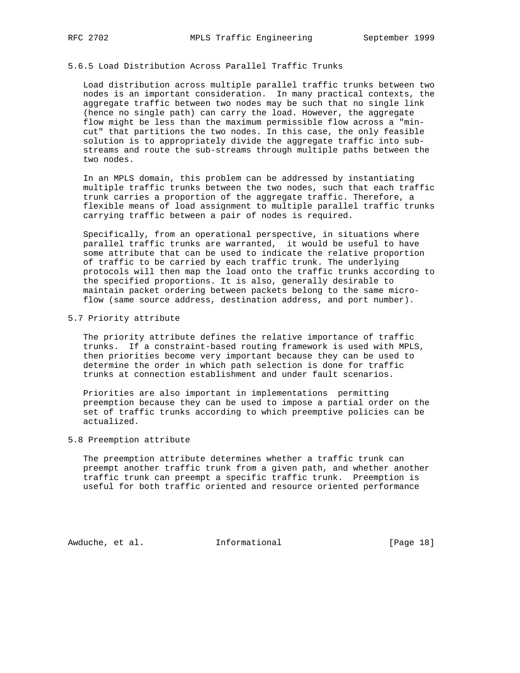# 5.6.5 Load Distribution Across Parallel Traffic Trunks

 Load distribution across multiple parallel traffic trunks between two nodes is an important consideration. In many practical contexts, the aggregate traffic between two nodes may be such that no single link (hence no single path) can carry the load. However, the aggregate flow might be less than the maximum permissible flow across a "min cut" that partitions the two nodes. In this case, the only feasible solution is to appropriately divide the aggregate traffic into sub streams and route the sub-streams through multiple paths between the two nodes.

 In an MPLS domain, this problem can be addressed by instantiating multiple traffic trunks between the two nodes, such that each traffic trunk carries a proportion of the aggregate traffic. Therefore, a flexible means of load assignment to multiple parallel traffic trunks carrying traffic between a pair of nodes is required.

 Specifically, from an operational perspective, in situations where parallel traffic trunks are warranted, it would be useful to have some attribute that can be used to indicate the relative proportion of traffic to be carried by each traffic trunk. The underlying protocols will then map the load onto the traffic trunks according to the specified proportions. It is also, generally desirable to maintain packet ordering between packets belong to the same micro flow (same source address, destination address, and port number).

### 5.7 Priority attribute

 The priority attribute defines the relative importance of traffic trunks. If a constraint-based routing framework is used with MPLS, then priorities become very important because they can be used to determine the order in which path selection is done for traffic trunks at connection establishment and under fault scenarios.

 Priorities are also important in implementations permitting preemption because they can be used to impose a partial order on the set of traffic trunks according to which preemptive policies can be actualized.

### 5.8 Preemption attribute

 The preemption attribute determines whether a traffic trunk can preempt another traffic trunk from a given path, and whether another traffic trunk can preempt a specific traffic trunk. Preemption is useful for both traffic oriented and resource oriented performance

Awduche, et al. **Informational** [Page 18]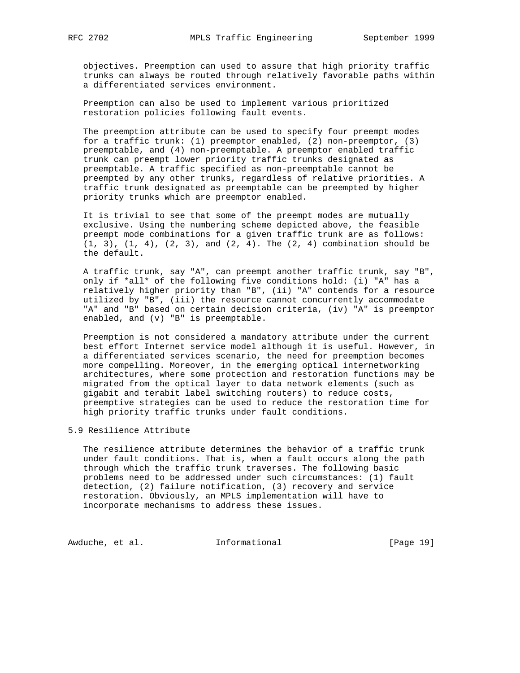objectives. Preemption can used to assure that high priority traffic trunks can always be routed through relatively favorable paths within a differentiated services environment.

 Preemption can also be used to implement various prioritized restoration policies following fault events.

 The preemption attribute can be used to specify four preempt modes for a traffic trunk: (1) preemptor enabled, (2) non-preemptor, (3) preemptable, and (4) non-preemptable. A preemptor enabled traffic trunk can preempt lower priority traffic trunks designated as preemptable. A traffic specified as non-preemptable cannot be preempted by any other trunks, regardless of relative priorities. A traffic trunk designated as preemptable can be preempted by higher priority trunks which are preemptor enabled.

 It is trivial to see that some of the preempt modes are mutually exclusive. Using the numbering scheme depicted above, the feasible preempt mode combinations for a given traffic trunk are as follows:  $(1, 3)$ ,  $(1, 4)$ ,  $(2, 3)$ , and  $(2, 4)$ . The  $(2, 4)$  combination should be the default.

 A traffic trunk, say "A", can preempt another traffic trunk, say "B", only if \*all\* of the following five conditions hold: (i) "A" has a relatively higher priority than "B", (ii) "A" contends for a resource utilized by "B", (iii) the resource cannot concurrently accommodate "A" and "B" based on certain decision criteria, (iv) "A" is preemptor enabled, and (v) "B" is preemptable.

 Preemption is not considered a mandatory attribute under the current best effort Internet service model although it is useful. However, in a differentiated services scenario, the need for preemption becomes more compelling. Moreover, in the emerging optical internetworking architectures, where some protection and restoration functions may be migrated from the optical layer to data network elements (such as gigabit and terabit label switching routers) to reduce costs, preemptive strategies can be used to reduce the restoration time for high priority traffic trunks under fault conditions.

### 5.9 Resilience Attribute

 The resilience attribute determines the behavior of a traffic trunk under fault conditions. That is, when a fault occurs along the path through which the traffic trunk traverses. The following basic problems need to be addressed under such circumstances: (1) fault detection, (2) failure notification, (3) recovery and service restoration. Obviously, an MPLS implementation will have to incorporate mechanisms to address these issues.

Awduche, et al. 1nformational 1917 [Page 19]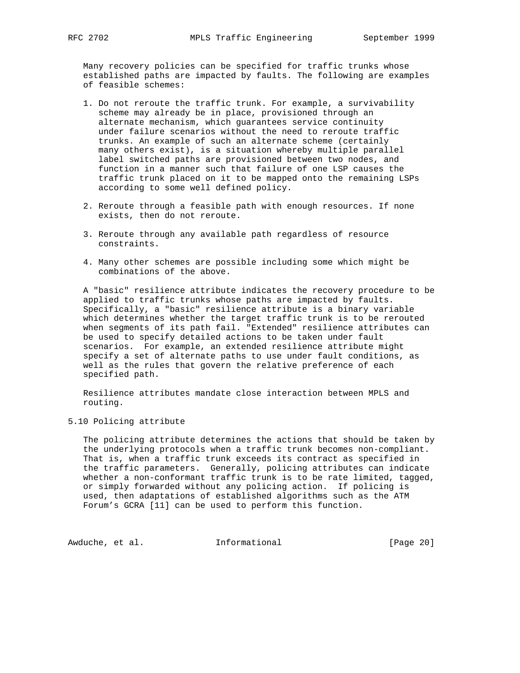Many recovery policies can be specified for traffic trunks whose established paths are impacted by faults. The following are examples of feasible schemes:

- 1. Do not reroute the traffic trunk. For example, a survivability scheme may already be in place, provisioned through an alternate mechanism, which guarantees service continuity under failure scenarios without the need to reroute traffic trunks. An example of such an alternate scheme (certainly many others exist), is a situation whereby multiple parallel label switched paths are provisioned between two nodes, and function in a manner such that failure of one LSP causes the traffic trunk placed on it to be mapped onto the remaining LSPs according to some well defined policy.
- 2. Reroute through a feasible path with enough resources. If none exists, then do not reroute.
- 3. Reroute through any available path regardless of resource constraints.
- 4. Many other schemes are possible including some which might be combinations of the above.

 A "basic" resilience attribute indicates the recovery procedure to be applied to traffic trunks whose paths are impacted by faults. Specifically, a "basic" resilience attribute is a binary variable which determines whether the target traffic trunk is to be rerouted when segments of its path fail. "Extended" resilience attributes can be used to specify detailed actions to be taken under fault scenarios. For example, an extended resilience attribute might specify a set of alternate paths to use under fault conditions, as well as the rules that govern the relative preference of each specified path.

 Resilience attributes mandate close interaction between MPLS and routing.

### 5.10 Policing attribute

 The policing attribute determines the actions that should be taken by the underlying protocols when a traffic trunk becomes non-compliant. That is, when a traffic trunk exceeds its contract as specified in the traffic parameters. Generally, policing attributes can indicate whether a non-conformant traffic trunk is to be rate limited, tagged, or simply forwarded without any policing action. If policing is used, then adaptations of established algorithms such as the ATM Forum's GCRA [11] can be used to perform this function.

Awduche, et al. 1nformational [Page 20]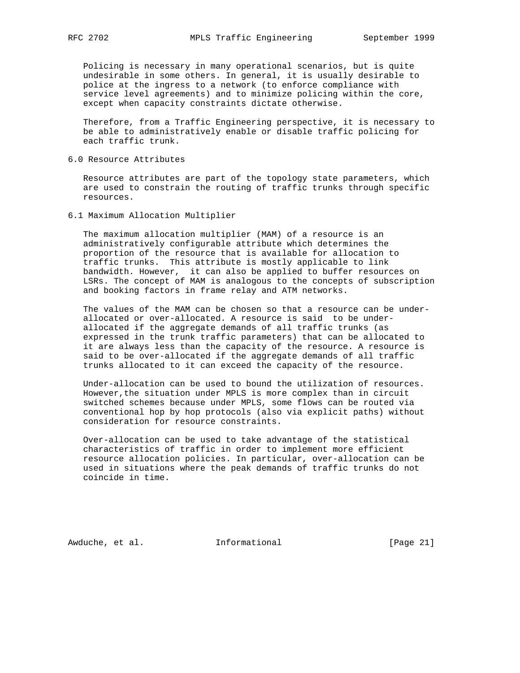Policing is necessary in many operational scenarios, but is quite undesirable in some others. In general, it is usually desirable to police at the ingress to a network (to enforce compliance with service level agreements) and to minimize policing within the core, except when capacity constraints dictate otherwise.

 Therefore, from a Traffic Engineering perspective, it is necessary to be able to administratively enable or disable traffic policing for each traffic trunk.

6.0 Resource Attributes

 Resource attributes are part of the topology state parameters, which are used to constrain the routing of traffic trunks through specific resources.

6.1 Maximum Allocation Multiplier

 The maximum allocation multiplier (MAM) of a resource is an administratively configurable attribute which determines the proportion of the resource that is available for allocation to traffic trunks. This attribute is mostly applicable to link bandwidth. However, it can also be applied to buffer resources on LSRs. The concept of MAM is analogous to the concepts of subscription and booking factors in frame relay and ATM networks.

 The values of the MAM can be chosen so that a resource can be under allocated or over-allocated. A resource is said to be under allocated if the aggregate demands of all traffic trunks (as expressed in the trunk traffic parameters) that can be allocated to it are always less than the capacity of the resource. A resource is said to be over-allocated if the aggregate demands of all traffic trunks allocated to it can exceed the capacity of the resource.

 Under-allocation can be used to bound the utilization of resources. However,the situation under MPLS is more complex than in circuit switched schemes because under MPLS, some flows can be routed via conventional hop by hop protocols (also via explicit paths) without consideration for resource constraints.

 Over-allocation can be used to take advantage of the statistical characteristics of traffic in order to implement more efficient resource allocation policies. In particular, over-allocation can be used in situations where the peak demands of traffic trunks do not coincide in time.

Awduche, et al. **Informational** [Page 21]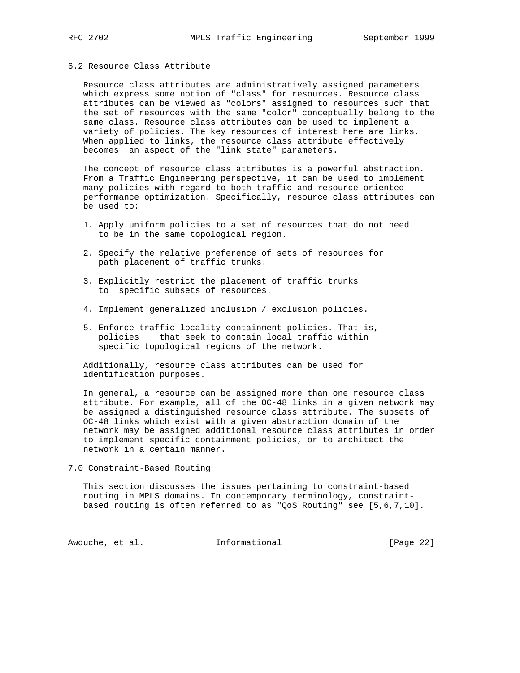# 6.2 Resource Class Attribute

 Resource class attributes are administratively assigned parameters which express some notion of "class" for resources. Resource class attributes can be viewed as "colors" assigned to resources such that the set of resources with the same "color" conceptually belong to the same class. Resource class attributes can be used to implement a variety of policies. The key resources of interest here are links. When applied to links, the resource class attribute effectively becomes an aspect of the "link state" parameters.

 The concept of resource class attributes is a powerful abstraction. From a Traffic Engineering perspective, it can be used to implement many policies with regard to both traffic and resource oriented performance optimization. Specifically, resource class attributes can be used to:

- 1. Apply uniform policies to a set of resources that do not need to be in the same topological region.
- 2. Specify the relative preference of sets of resources for path placement of traffic trunks.
- 3. Explicitly restrict the placement of traffic trunks to specific subsets of resources.
- 4. Implement generalized inclusion / exclusion policies.
- 5. Enforce traffic locality containment policies. That is, policies that seek to contain local traffic within specific topological regions of the network.

 Additionally, resource class attributes can be used for identification purposes.

 In general, a resource can be assigned more than one resource class attribute. For example, all of the OC-48 links in a given network may be assigned a distinguished resource class attribute. The subsets of OC-48 links which exist with a given abstraction domain of the network may be assigned additional resource class attributes in order to implement specific containment policies, or to architect the network in a certain manner.

7.0 Constraint-Based Routing

 This section discusses the issues pertaining to constraint-based routing in MPLS domains. In contemporary terminology, constraint based routing is often referred to as "QoS Routing" see [5,6,7,10].

Awduche, et al. 1nformational [Page 22]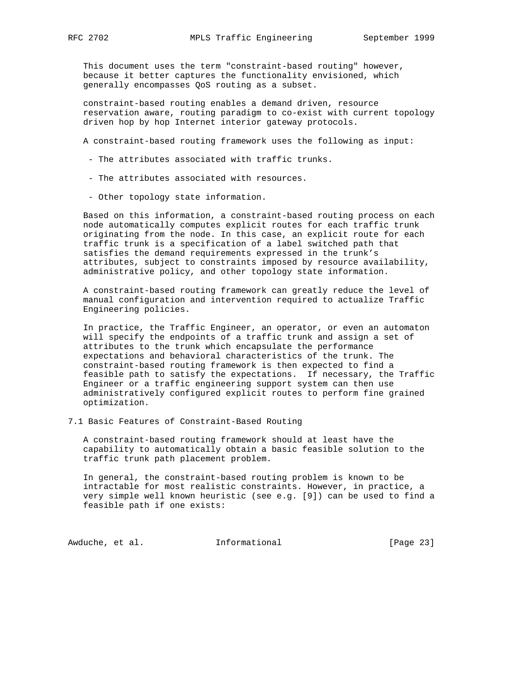This document uses the term "constraint-based routing" however, because it better captures the functionality envisioned, which generally encompasses QoS routing as a subset.

 constraint-based routing enables a demand driven, resource reservation aware, routing paradigm to co-exist with current topology driven hop by hop Internet interior gateway protocols.

A constraint-based routing framework uses the following as input:

- The attributes associated with traffic trunks.
- The attributes associated with resources.
- Other topology state information.

 Based on this information, a constraint-based routing process on each node automatically computes explicit routes for each traffic trunk originating from the node. In this case, an explicit route for each traffic trunk is a specification of a label switched path that satisfies the demand requirements expressed in the trunk's attributes, subject to constraints imposed by resource availability, administrative policy, and other topology state information.

 A constraint-based routing framework can greatly reduce the level of manual configuration and intervention required to actualize Traffic Engineering policies.

 In practice, the Traffic Engineer, an operator, or even an automaton will specify the endpoints of a traffic trunk and assign a set of attributes to the trunk which encapsulate the performance expectations and behavioral characteristics of the trunk. The constraint-based routing framework is then expected to find a feasible path to satisfy the expectations. If necessary, the Traffic Engineer or a traffic engineering support system can then use administratively configured explicit routes to perform fine grained optimization.

7.1 Basic Features of Constraint-Based Routing

 A constraint-based routing framework should at least have the capability to automatically obtain a basic feasible solution to the traffic trunk path placement problem.

 In general, the constraint-based routing problem is known to be intractable for most realistic constraints. However, in practice, a very simple well known heuristic (see e.g. [9]) can be used to find a feasible path if one exists:

Awduche, et al. 1nformational [Page 23]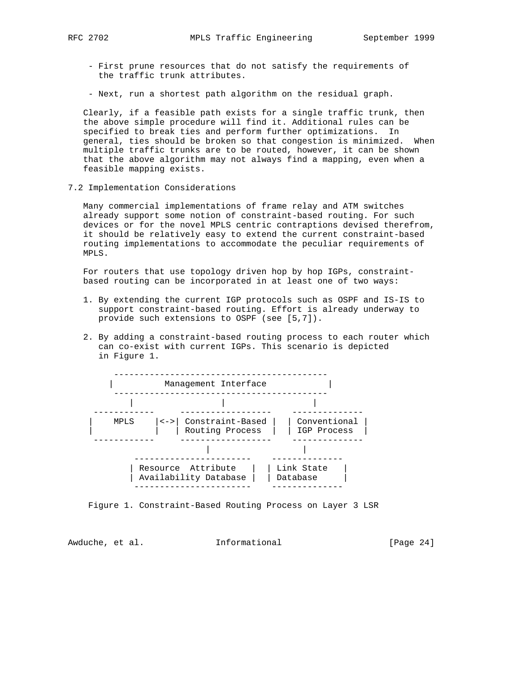- First prune resources that do not satisfy the requirements of the traffic trunk attributes.
- Next, run a shortest path algorithm on the residual graph.

 Clearly, if a feasible path exists for a single traffic trunk, then the above simple procedure will find it. Additional rules can be specified to break ties and perform further optimizations. In general, ties should be broken so that congestion is minimized. When multiple traffic trunks are to be routed, however, it can be shown that the above algorithm may not always find a mapping, even when a feasible mapping exists.

7.2 Implementation Considerations

 Many commercial implementations of frame relay and ATM switches already support some notion of constraint-based routing. For such devices or for the novel MPLS centric contraptions devised therefrom, it should be relatively easy to extend the current constraint-based routing implementations to accommodate the peculiar requirements of MPLS.

 For routers that use topology driven hop by hop IGPs, constraint based routing can be incorporated in at least one of two ways:

- 1. By extending the current IGP protocols such as OSPF and IS-IS to support constraint-based routing. Effort is already underway to provide such extensions to OSPF (see [5,7]).
- 2. By adding a constraint-based routing process to each router which can co-exist with current IGPs. This scenario is depicted in Figure 1.



Figure 1. Constraint-Based Routing Process on Layer 3 LSR

Awduche, et al. **Informational** [Page 24]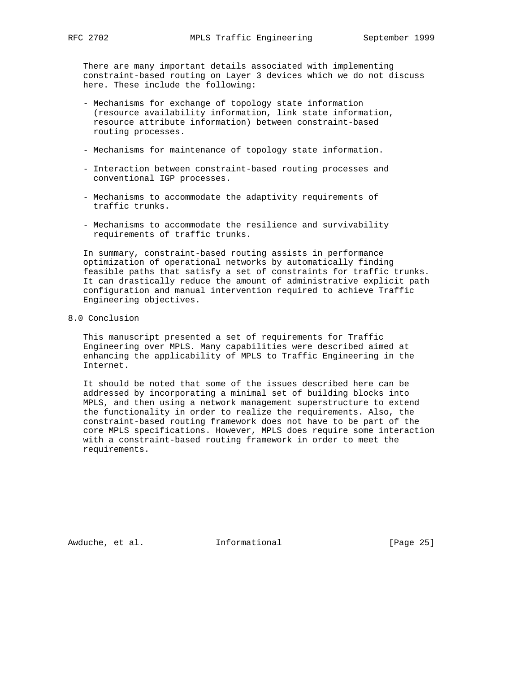There are many important details associated with implementing constraint-based routing on Layer 3 devices which we do not discuss here. These include the following:

- Mechanisms for exchange of topology state information (resource availability information, link state information, resource attribute information) between constraint-based routing processes.
- Mechanisms for maintenance of topology state information.
- Interaction between constraint-based routing processes and conventional IGP processes.
- Mechanisms to accommodate the adaptivity requirements of traffic trunks.
- Mechanisms to accommodate the resilience and survivability requirements of traffic trunks.

 In summary, constraint-based routing assists in performance optimization of operational networks by automatically finding feasible paths that satisfy a set of constraints for traffic trunks. It can drastically reduce the amount of administrative explicit path configuration and manual intervention required to achieve Traffic Engineering objectives.

8.0 Conclusion

 This manuscript presented a set of requirements for Traffic Engineering over MPLS. Many capabilities were described aimed at enhancing the applicability of MPLS to Traffic Engineering in the Internet.

 It should be noted that some of the issues described here can be addressed by incorporating a minimal set of building blocks into MPLS, and then using a network management superstructure to extend the functionality in order to realize the requirements. Also, the constraint-based routing framework does not have to be part of the core MPLS specifications. However, MPLS does require some interaction with a constraint-based routing framework in order to meet the requirements.

Awduche, et al. **Informational** [Page 25]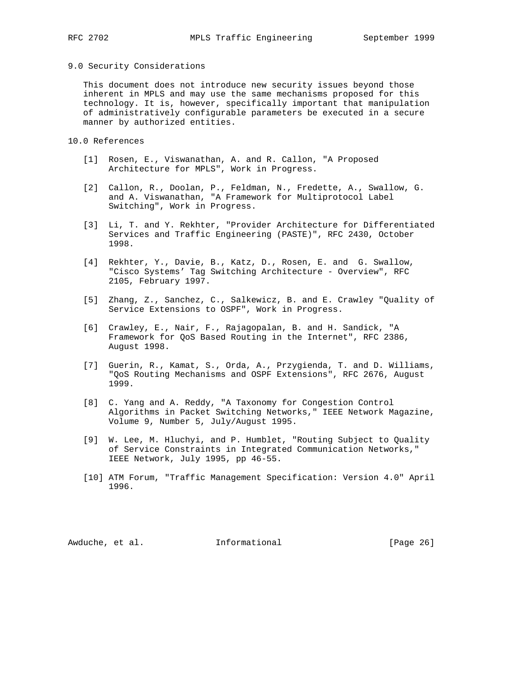### 9.0 Security Considerations

 This document does not introduce new security issues beyond those inherent in MPLS and may use the same mechanisms proposed for this technology. It is, however, specifically important that manipulation of administratively configurable parameters be executed in a secure manner by authorized entities.

## 10.0 References

- [1] Rosen, E., Viswanathan, A. and R. Callon, "A Proposed Architecture for MPLS", Work in Progress.
- [2] Callon, R., Doolan, P., Feldman, N., Fredette, A., Swallow, G. and A. Viswanathan, "A Framework for Multiprotocol Label Switching", Work in Progress.
- [3] Li, T. and Y. Rekhter, "Provider Architecture for Differentiated Services and Traffic Engineering (PASTE)", RFC 2430, October 1998.
- [4] Rekhter, Y., Davie, B., Katz, D., Rosen, E. and G. Swallow, "Cisco Systems' Tag Switching Architecture - Overview", RFC 2105, February 1997.
- [5] Zhang, Z., Sanchez, C., Salkewicz, B. and E. Crawley "Quality of Service Extensions to OSPF", Work in Progress.
- [6] Crawley, E., Nair, F., Rajagopalan, B. and H. Sandick, "A Framework for QoS Based Routing in the Internet", RFC 2386, August 1998.
- [7] Guerin, R., Kamat, S., Orda, A., Przygienda, T. and D. Williams, "QoS Routing Mechanisms and OSPF Extensions", RFC 2676, August 1999.
- [8] C. Yang and A. Reddy, "A Taxonomy for Congestion Control Algorithms in Packet Switching Networks," IEEE Network Magazine, Volume 9, Number 5, July/August 1995.
- [9] W. Lee, M. Hluchyi, and P. Humblet, "Routing Subject to Quality of Service Constraints in Integrated Communication Networks," IEEE Network, July 1995, pp 46-55.
- [10] ATM Forum, "Traffic Management Specification: Version 4.0" April 1996.

Awduche, et al. **Informational** [Page 26]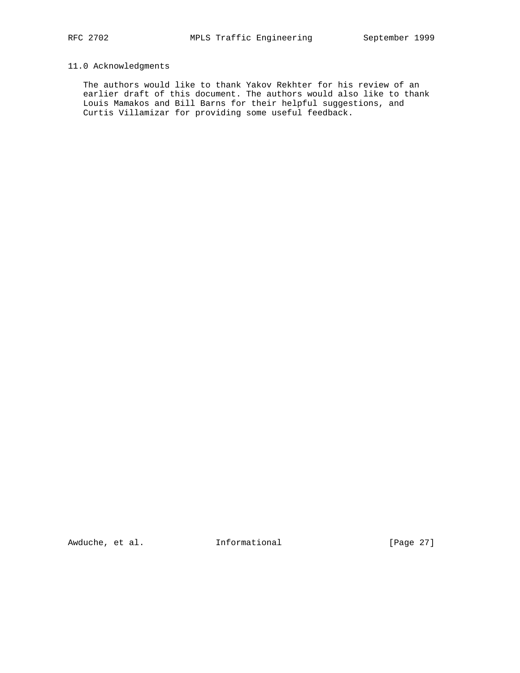# 11.0 Acknowledgments

 The authors would like to thank Yakov Rekhter for his review of an earlier draft of this document. The authors would also like to thank Louis Mamakos and Bill Barns for their helpful suggestions, and Curtis Villamizar for providing some useful feedback.

Awduche, et al. 1nformational [Page 27]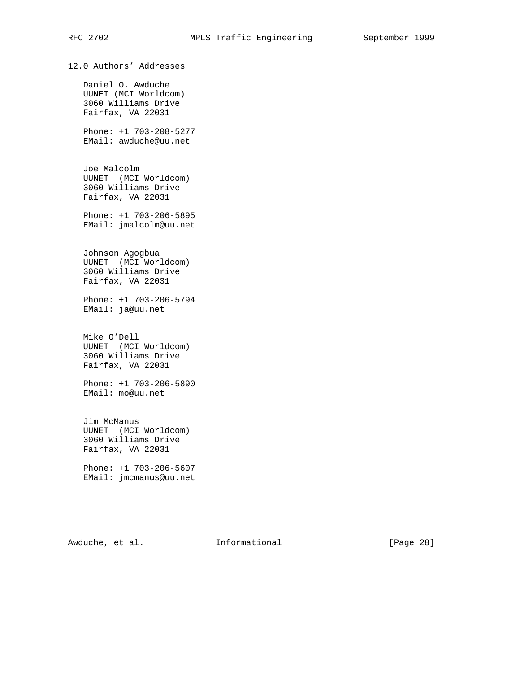12.0 Authors' Addresses

 Daniel O. Awduche UUNET (MCI Worldcom) 3060 Williams Drive Fairfax, VA 22031

 Phone: +1 703-208-5277 EMail: awduche@uu.net

 Joe Malcolm UUNET (MCI Worldcom) 3060 Williams Drive Fairfax, VA 22031

 Phone: +1 703-206-5895 EMail: jmalcolm@uu.net

 Johnson Agogbua UUNET (MCI Worldcom) 3060 Williams Drive Fairfax, VA 22031

 Phone: +1 703-206-5794 EMail: ja@uu.net

 Mike O'Dell UUNET (MCI Worldcom) 3060 Williams Drive Fairfax, VA 22031

 Phone: +1 703-206-5890 EMail: mo@uu.net

 Jim McManus UUNET (MCI Worldcom) 3060 Williams Drive Fairfax, VA 22031

 Phone: +1 703-206-5607 EMail: jmcmanus@uu.net

Awduche, et al. 1nformational [Page 28]